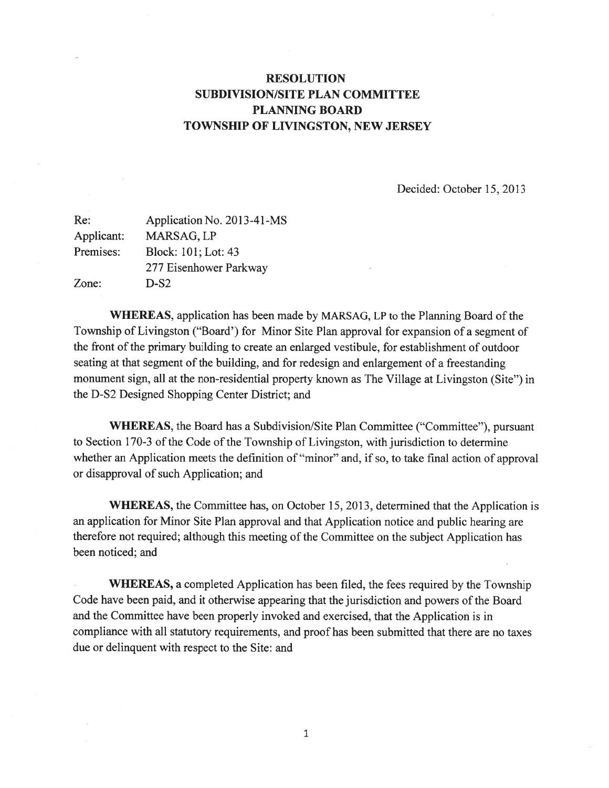## RESOLUTION SUBDIVISION/SITE PLAN COMMITTEE PLANNING BOARD TOWNSHIP OF LIVINGSTON, NEW JERSEY

Decided: October 15, 2013

| Application No. 2013-41-MS |
|----------------------------|
| MARSAG, LP                 |
| Block: 101; Lot: 43        |
| 277 Eisenhower Parkway     |
| $D-S2$                     |
|                            |

WHEREAS, application has been made by MARSAG. LP to the Planning Board of the Township of Livingston ("Board') for Minor Site Plan approval for expansion of <sup>a</sup> segmen<sup>t</sup> of the front of the primary building to create an enlarged vestibule, for establishment of outdoor seating at that segmen<sup>t</sup> of the building, and for redesign and enlargement of <sup>a</sup> freestanding monument sign, all at the non-residential property known as The Village at Livingston (Site") in the D-S2 Designed Shopping Center District; and

WHEREAS, the Board has a Subdivision/Site Plan Committee ("Committee"), pursuant to Section 170-3 of the Code of the Township of Livingston, with jurisdiction to determine whether an Application meets the definition of "minor" and, if so, to take final action of approval or disapproval of such Application; and

WHEREAS, the Committee has, on October 15, 2013, determined that the Application is an application for Minor Site Plan approval and that Application notice and public hearing are therefore not required; although this meeting of the Committee on the subject Application has been noticed; and

WHEREAS, <sup>a</sup> completed Application has been filed, the fees required by the Township Code have been paid, and it otherwise appearing that the jurisdiction and powers of the Board and the Committee have been properly invoked and exercised, that the Application is in compliance with all statutory requirements, and proof has been submitted that there are no taxes due or delinquent with respec<sup>t</sup> to the Site: and

1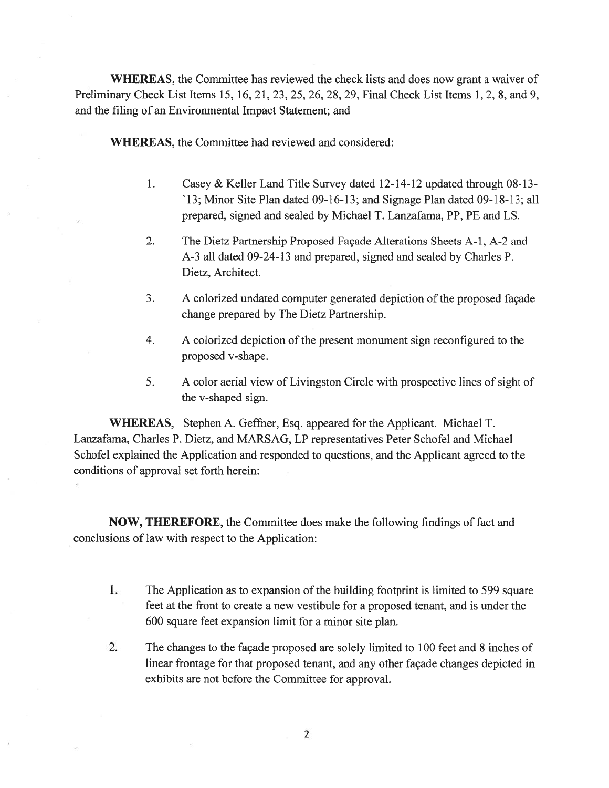WHEREAS, the Committee has reviewed the check lists and does now gran<sup>t</sup> <sup>a</sup> waiver of Preliminary Check List Items 15, 16, 21, 23, 25, 26, 28, 29, Final Check List Items 1, 2, 8, and 9, and the filing of an Environmental Impact Statement; and

WHEREAS, the Committee had reviewed and considered:

- 1. Casey & Keller Land Title Survey dated 12-14-12 updated through 08-13- '13; Minor Site Plan dated 09-16-13; and Signage Plan dated 09-18-13; all prepared, signed and sealed by Michael T. Lanzafama, PP. PE and LS.
- 2. The Dietz Partnership Proposed Façade Alterations Sheets A-1, A-2 and A-3 all dated 09-24-13 and prepared, signed and sealed by Charles P. Dietz, Architect.
- 3. A colorized undated computer generated depiction of the proposed façade change prepared by The Dietz Partnership.
- 4. A colorized depiction of the presen<sup>t</sup> monument sign reconfigured to the proposed v-shape.
- 5. A color aerial view of Livingston Circle with prospective lines of sight of the v-shaped sign.

WHEREAS, Stephen A. Geffner, Esq. appeared for the Applicant. Michael T. Lanzafama, Charles P. Dietz, and MARSAG, LP representatives Peter Schofel and Michael Schofel explained the Application and responded to questions, and the Applicant agreed to the conditions of approval set forth herein:

NOW, THEREFORE, the Committee does make the following findings of fact and conclusions of law with respec<sup>t</sup> to the Application:

- 1. The Application as to expansion of the building footprint is limited to 599 square feet at the front to create <sup>a</sup> new vestibule for <sup>a</sup> proposed tenant, and is under the 600 square feet expansion limit for <sup>a</sup> minor site plan.
- 2. The changes to the façade proposed are solely limited to 100 feet and 8 inches of linear frontage for that proposed tenant, and any other façade changes depicted in exhibits are not before the Committee for approval.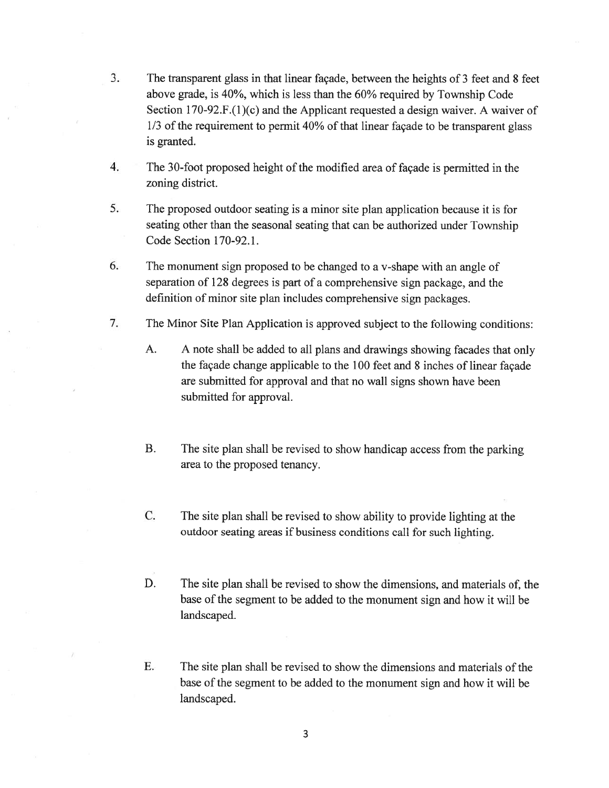- 3. The transparent glass in that linear façade, between the heights of 3 feet and 8 feet above grade, is 40%, which is less than the 60% required by Township Code Section 170-92.F.(l)(c) and the Applicant requested <sup>a</sup> design waiver. A waiver of 1/3 of the requirement to permit 40% of that linear façade to be transparent glass is granted.
- 4. The 30-foot proposed height of the modified area of façade is permitted in the zoning district.
- 5. The proposed outdoor seating is <sup>a</sup> minor site <sup>p</sup>lan application because it is for seating other than the seasonal seating that can be authorized under Township Code Section 170-92.1.
- 6. The monument sign proposed to be changed to <sup>a</sup> v-shape with an angle of separation of 128 degrees is par<sup>t</sup> of <sup>a</sup> comprehensive sign package, and the definition of minor site <sup>p</sup>lan includes comprehensive sign packages.
- 7. The Minor Site Plan Application is approved subject to the following conditions:
	- A. <sup>A</sup> note shall be added to all <sup>p</sup>lans and drawings showing facades that only the façade change applicable to the 100 feet and 8 inches of linear façade are submitted for approval and that no wall signs shown have been submitted for approval.
	- B. The site <sup>p</sup>lan shall be revised to show handicap access from the parking area to the proposed tenancy.
	- C. The site <sup>p</sup>lan shall be revised to show ability to provide lighting at the outdoor seating areas if business conditions call for such lighting.
	- D. The site plan shall be revised to show the dimensions, and materials of, the base of the segment to be added to the monument sign and how it will be landscaped.
	- E. The site plan shall be revised to show the dimensions and materials of the base of the segmen<sup>t</sup> to be added to the monument sign and how it will be landscaped.